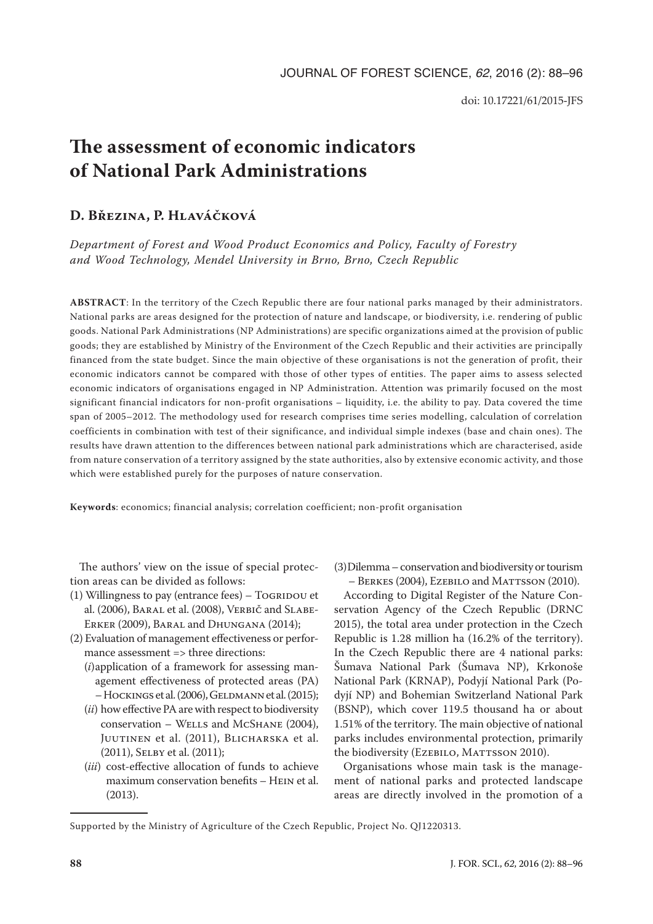# **The assessment of economic indicators of National Park Administrations**

## **D. Březina, P. Hlaváčková**

*Department of Forest and Wood Product Economics and Policy, Faculty of Forestry and Wood Technology, Mendel University in Brno, Brno, Czech Republic*

**ABSTRACT**: In the territory of the Czech Republic there are four national parks managed by their administrators. National parks are areas designed for the protection of nature and landscape, or biodiversity, i.e. rendering of public goods. National Park Administrations (NP Administrations) are specific organizations aimed at the provision of public goods; they are established by Ministry of the Environment of the Czech Republic and their activities are principally financed from the state budget. Since the main objective of these organisations is not the generation of profit, their economic indicators cannot be compared with those of other types of entities. The paper aims to assess selected economic indicators of organisations engaged in NP Administration. Attention was primarily focused on the most significant financial indicators for non-profit organisations – liquidity, i.e. the ability to pay. Data covered the time span of 2005–2012. The methodology used for research comprises time series modelling, calculation of correlation coefficients in combination with test of their significance, and individual simple indexes (base and chain ones). The results have drawn attention to the differences between national park administrations which are characterised, aside from nature conservation of a territory assigned by the state authorities, also by extensive economic activity, and those which were established purely for the purposes of nature conservation.

**Keywords**: economics; financial analysis; correlation coefficient; non-profit organisation

The authors' view on the issue of special protection areas can be divided as follows:

- (1) Willingness to pay (entrance fees)  $-$  TogRIDOU et al. (2006), Baral et al. (2008), Verbič and Slabe-Erker (2009), Baral and Dhungana (2014);
- (2) Evaluation of management effectiveness or performance assessment => three directions:
	- (*i*)application of a framework for assessing management effectiveness of protected areas (PA)  $-$  Hockings et al. (2006), GELDMANN et al. (2015);
	- (*ii*) how effective PA are with respect to biodiversity conservation – Wells and McShane (2004), JUUTINEN et al. (2011), BLICHARSKA et al. (2011), Selby et al. (2011);
	- (*iii*) cost-effective allocation of funds to achieve maximum conservation benefits – Hein et al. (2013).

(3)Dilemma – conservation and biodiversity or tourism – Berkes (2004), Ezebilo and Mattsson (2010).

According to Digital Register of the Nature Conservation Agency of the Czech Republic (DRNC 2015), the total area under protection in the Czech Republic is 1.28 million ha (16.2% of the territory). In the Czech Republic there are 4 national parks: Šumava National Park (Šumava NP), Krkonoše National Park (KRNAP), Podyjí National Park (Podyjí NP) and Bohemian Switzerland National Park (BSNP), which cover 119.5 thousand ha or about 1.51% of the territory. The main objective of national parks includes environmental protection, primarily the biodiversity (EzEBILO, MATTSSON 2010).

Organisations whose main task is the management of national parks and protected landscape areas are directly involved in the promotion of a

Supported by the Ministry of Agriculture of the Czech Republic, Project No. QJ1220313.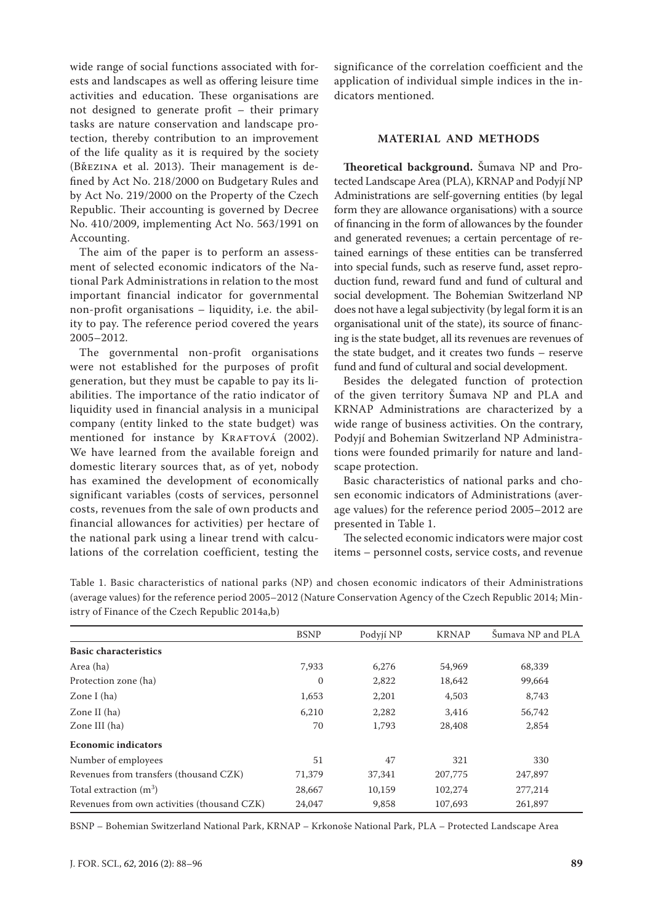wide range of social functions associated with forests and landscapes as well as offering leisure time activities and education. These organisations are not designed to generate profit – their primary tasks are nature conservation and landscape protection, thereby contribution to an improvement of the life quality as it is required by the society (Březina et al. 2013). Their management is defined by Act No. 218/2000 on Budgetary Rules and by Act No. 219/2000 on the Property of the Czech Republic. Their accounting is governed by Decree No. 410/2009, implementing Act No. 563/1991 on Accounting.

The aim of the paper is to perform an assessment of selected economic indicators of the National Park Administrations in relation to the most important financial indicator for governmental non-profit organisations – liquidity, i.e. the ability to pay. The reference period covered the years 2005–2012.

The governmental non-profit organisations were not established for the purposes of profit generation, but they must be capable to pay its liabilities. The importance of the ratio indicator of liquidity used in financial analysis in a municipal company (entity linked to the state budget) was mentioned for instance by KRAFTOVÁ (2002). We have learned from the available foreign and domestic literary sources that, as of yet, nobody has examined the development of economically significant variables (costs of services, personnel costs, revenues from the sale of own products and financial allowances for activities) per hectare of the national park using a linear trend with calculations of the correlation coefficient, testing the

significance of the correlation coefficient and the application of individual simple indices in the indicators mentioned.

### **MATERIAL AND METHODS**

**Theoretical background.** Šumava NP and Protected Landscape Area (PLA), KRNAP and Podyjí NP Administrations are self-governing entities (by legal form they are allowance organisations) with a source of financing in the form of allowances by the founder and generated revenues; a certain percentage of retained earnings of these entities can be transferred into special funds, such as reserve fund, asset reproduction fund, reward fund and fund of cultural and social development. The Bohemian Switzerland NP does not have a legal subjectivity (by legal form it is an organisational unit of the state), its source of financing is the state budget, all its revenues are revenues of the state budget, and it creates two funds – reserve fund and fund of cultural and social development.

Besides the delegated function of protection of the given territory Šumava NP and PLA and KRNAP Administrations are characterized by a wide range of business activities. On the contrary, Podyjí and Bohemian Switzerland NP Administrations were founded primarily for nature and landscape protection.

Basic characteristics of national parks and chosen economic indicators of Administrations (average values) for the reference period 2005–2012 are presented in Table 1.

The selected economic indicators were major cost items – personnel costs, service costs, and revenue

Table 1. Basic characteristics of national parks (NP) and chosen economic indicators of their Administrations (average values) for the reference period 2005–2012 (Nature Conservation Agency of the Czech Republic 2014; Ministry of Finance of the Czech Republic 2014a,b)

|                                             | <b>BSNP</b>  | Podyjí NP | <b>KRNAP</b> | Šumava NP and PLA |
|---------------------------------------------|--------------|-----------|--------------|-------------------|
| <b>Basic characteristics</b>                |              |           |              |                   |
| Area (ha)                                   | 7,933        | 6,276     | 54,969       | 68,339            |
| Protection zone (ha)                        | $\mathbf{0}$ | 2,822     | 18,642       | 99,664            |
| Zone I (ha)                                 | 1,653        | 2,201     | 4,503        | 8,743             |
| Zone II (ha)                                | 6,210        | 2,282     | 3,416        | 56,742            |
| Zone III (ha)                               | 70           | 1,793     | 28,408       | 2,854             |
| <b>Economic indicators</b>                  |              |           |              |                   |
| Number of employees                         | 51           | 47        | 321          | 330               |
| Revenues from transfers (thousand CZK)      | 71,379       | 37,341    | 207,775      | 247,897           |
| Total extraction $(m^3)$                    | 28,667       | 10,159    | 102,274      | 277,214           |
| Revenues from own activities (thousand CZK) | 24,047       | 9,858     | 107,693      | 261,897           |

BSNP – Bohemian Switzerland National Park, KRNAP – Krkonoše National Park, PLA – Protected Landscape Area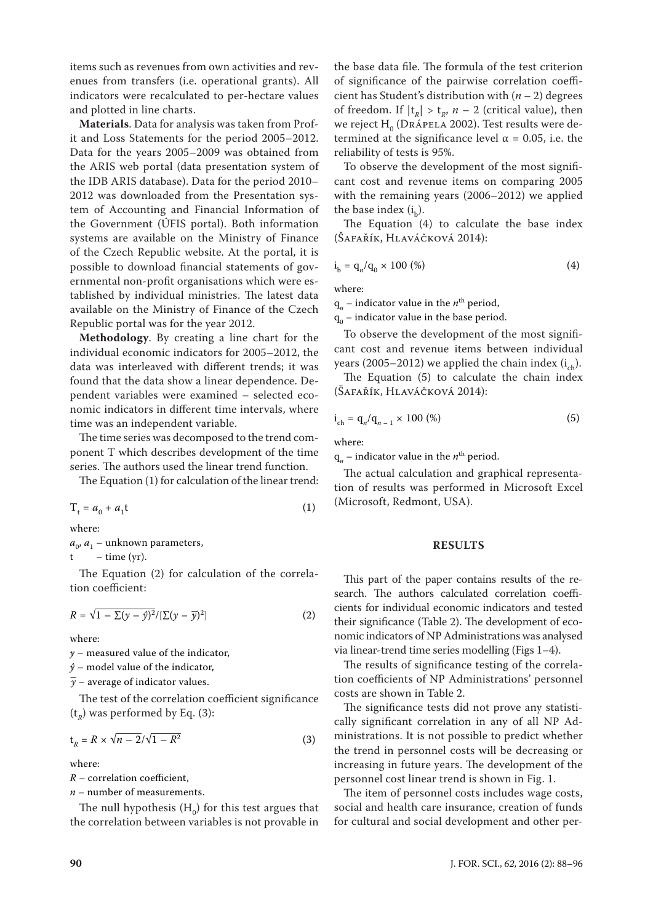items such as revenues from own activities and revenues from transfers (i.e. operational grants). All indicators were recalculated to per-hectare values and plotted in line charts.

**Materials**. Data for analysis was taken from Profit and Loss Statements for the period 2005–2012. Data for the years 2005–2009 was obtained from the ARIS web portal (data presentation system of the IDB ARIS database). Data for the period 2010– 2012 was downloaded from the Presentation system of Accounting and Financial Information of the Government (ÚFIS portal). Both information systems are available on the Ministry of Finance of the Czech Republic website. At the portal, it is possible to download financial statements of governmental non-profit organisations which were established by individual ministries. The latest data available on the Ministry of Finance of the Czech Republic portal was for the year 2012.

**Methodology**. By creating a line chart for the individual economic indicators for 2005–2012, the data was interleaved with different trends; it was found that the data show a linear dependence. Dependent variables were examined – selected economic indicators in different time intervals, where time was an independent variable.

The time series was decomposed to the trend component T which describes development of the time series. The authors used the linear trend function.

The Equation (1) for calculation of the linear trend:

$$
T_t = a_0 + a_1 t \tag{1}
$$

where:

 $a_0$ ,  $a_1$  – unknown parameters,

 $-$  time (yr).

The Equation (2) for calculation of the correlation coefficient:

$$
R = \sqrt{1 - \Sigma (y - \hat{y})^2} / [\Sigma (y - \overline{y})^2]
$$
 (2)

where:

*y* – measured value of the indicator,

*ŷ* – model value of the indicator,

 $\overline{y}$  – average of indicator values.

The test of the correlation coefficient significance  $(t<sub>p</sub>)$  was performed by Eq. (3):

$$
\mathbf{t}_R = R \times \sqrt{n-2/\sqrt{1-R^2}} \tag{3}
$$

where:

*R –* correlation coefficient,

*n –* number of measurements.

The null hypothesis  $(H_0)$  for this test argues that the correlation between variables is not provable in

the base data file. The formula of the test criterion of significance of the pairwise correlation coefficient has Student's distribution with (*n* – 2) degrees of freedom. If  $|t_R| > t_R$ ,  $n - 2$  (critical value), then we reject  $\text{H}_{\text{0}}$  (Drápela 2002). Test results were determined at the significance level  $\alpha$  = 0.05, i.e. the reliability of tests is 95%.

To observe the development of the most significant cost and revenue items on comparing 2005 with the remaining years (2006–2012) we applied the base index  $(i_h)$ .

The Equation (4) to calculate the base index (Šafařík, Hlaváčková 2014):

$$
i_{b} = q_{n}/q_{0} \times 100 \, (\%) \tag{4}
$$

where:

 $q_n$  – indicator value in the  $n<sup>th</sup>$  period,

q0 *–* indicator value in the base period.

To observe the development of the most significant cost and revenue items between individual years (2005–2012) we applied the chain index  $(i<sub>ch</sub>)$ .

The Equation (5) to calculate the chain index (Šafařík, Hlaváčková 2014):

$$
i_{ch} = q_n / q_{n-1} \times 100 \, (\%) \tag{5}
$$

where:

 $q_n$  – indicator value in the  $n^{\text{th}}$  period.

The actual calculation and graphical representation of results was performed in Microsoft Excel (Microsoft, Redmont, USA).

#### **RESULTS**

This part of the paper contains results of the research. The authors calculated correlation coefficients for individual economic indicators and tested their significance (Table 2). The development of economic indicators of NP Administrations was analysed via linear-trend time series modelling (Figs 1–4).

The results of significance testing of the correlation coefficients of NP Administrations' personnel costs are shown in Table 2.

The significance tests did not prove any statistically significant correlation in any of all NP Administrations. It is not possible to predict whether the trend in personnel costs will be decreasing or increasing in future years. The development of the personnel cost linear trend is shown in Fig. 1.

The item of personnel costs includes wage costs, social and health care insurance, creation of funds for cultural and social development and other per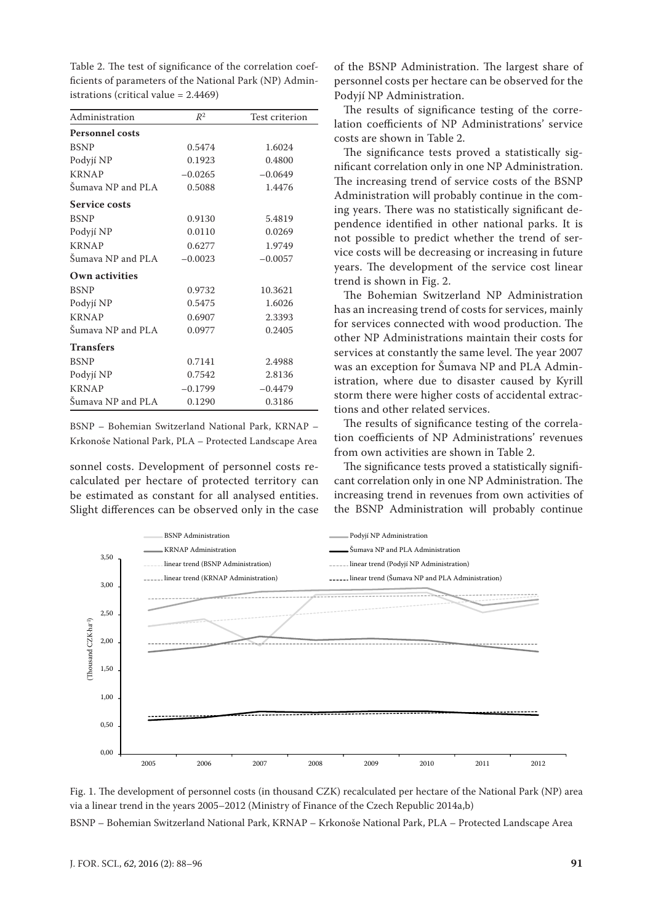Table 2. The test of significance of the correlation coefficients of parameters of the National Park (NP) Administrations (critical value = 2.4469)

| Administration         | $R^2$     | Test criterion |
|------------------------|-----------|----------------|
| <b>Personnel costs</b> |           |                |
| <b>BSNP</b>            | 0.5474    | 1.6024         |
| Podyjí NP              | 0.1923    | 0.4800         |
| <b>KRNAP</b>           | $-0.0265$ | $-0.0649$      |
| Šumava NP and PLA      | 0.5088    | 1.4476         |
| <b>Service costs</b>   |           |                |
| <b>BSNP</b>            | 0.9130    | 5.4819         |
| Podyjí NP              | 0.0110    | 0.0269         |
| <b>KRNAP</b>           | 0.6277    | 1.9749         |
| Šumava NP and PLA      | $-0.0023$ | $-0.0057$      |
| Own activities         |           |                |
| <b>BSNP</b>            | 0.9732    | 10.3621        |
| Podyjí NP              | 0.5475    | 1.6026         |
| <b>KRNAP</b>           | 0.6907    | 2.3393         |
| Šumava NP and PLA      | 0.0977    | 0.2405         |
| <b>Transfers</b>       |           |                |
| <b>BSNP</b>            | 0.7141    | 2.4988         |
| Podyjí NP              | 0.7542    | 2.8136         |
| <b>KRNAP</b>           | $-0.1799$ | $-0.4479$      |
| Šumava NP and PLA      | 0.1290    | 0.3186         |

BSNP – Bohemian Switzerland National Park, KRNAP – Krkonoše National Park, PLA – Protected Landscape Area

sonnel costs. Development of personnel costs recalculated per hectare of protected territory can be estimated as constant for all analysed entities. Slight differences can be observed only in the case of the BSNP Administration. The largest share of personnel costs per hectare can be observed for the Podyjí NP Administration.

The results of significance testing of the correlation coefficients of NP Administrations' service costs are shown in Table 2.

The significance tests proved a statistically significant correlation only in one NP Administration. The increasing trend of service costs of the BSNP Administration will probably continue in the coming years. There was no statistically significant dependence identified in other national parks. It is not possible to predict whether the trend of service costs will be decreasing or increasing in future years. The development of the service cost linear trend is shown in Fig. 2.

The Bohemian Switzerland NP Administration has an increasing trend of costs for services, mainly for services connected with wood production. The other NP Administrations maintain their costs for services at constantly the same level. The year 2007 was an exception for Šumava NP and PLA Administration, where due to disaster caused by Kyrill storm there were higher costs of accidental extractions and other related services.

The results of significance testing of the correlation coefficients of NP Administrations' revenues from own activities are shown in Table 2.

The significance tests proved a statistically significant correlation only in one NP Administration. The increasing trend in revenues from own activities of the BSNP Administration will probably continue



Fig. 1. The development of personnel costs (in thousand CZK) recalculated per hectare of the National Park (NP) area via a linear trend in the years 2005–2012 (Ministry of Finance of the Czech Republic 2014a,b) BSNP – Bohemian Switzerland National Park, KRNAP – Krkonoše National Park, PLA – Protected Landscape Area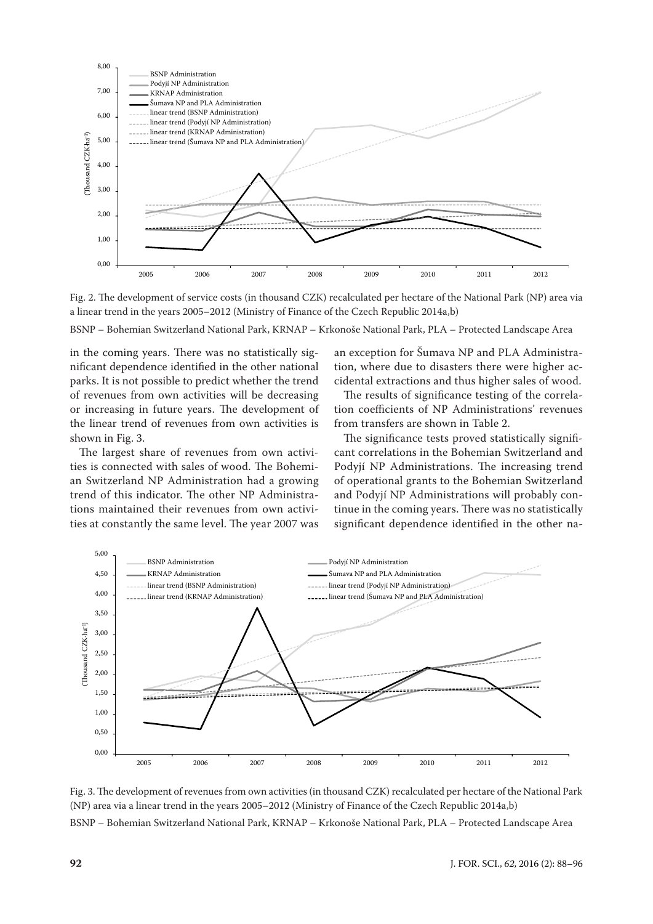

Fig. 2. The development of service costs (in thousand CZK) recalculated per hectare of the National Park (NP) area via a linear trend in the years 2005–2012 (Ministry of Finance of the Czech Republic 2014a,b)

BSNP – Bohemian Switzerland National Park, KRNAP – Krkonoše National Park, PLA – Protected Landscape Area

in the coming years. There was no statistically significant dependence identified in the other national parks. It is not possible to predict whether the trend of revenues from own activities will be decreasing or increasing in future years. The development of the linear trend of revenues from own activities is shown in Fig. 3.

The largest share of revenues from own activities is connected with sales of wood. The Bohemian Switzerland NP Administration had a growing trend of this indicator. The other NP Administrations maintained their revenues from own activities at constantly the same level. The year 2007 was an exception for Šumava NP and PLA Administration, where due to disasters there were higher accidental extractions and thus higher sales of wood.

The results of significance testing of the correlation coefficients of NP Administrations' revenues from transfers are shown in Table 2.

The significance tests proved statistically significant correlations in the Bohemian Switzerland and Podyjí NP Administrations. The increasing trend of operational grants to the Bohemian Switzerland and Podyjí NP Administrations will probably continue in the coming years. There was no statistically significant dependence identified in the other na-



Fig. 3. The development of revenues from own activities (in thousand CZK) recalculated per hectare of the National Park (NP) area via a linear trend in the years 2005–2012 (Ministry of Finance of the Czech Republic 2014a,b) BSNP – Bohemian Switzerland National Park, KRNAP – Krkonoše National Park, PLA – Protected Landscape Area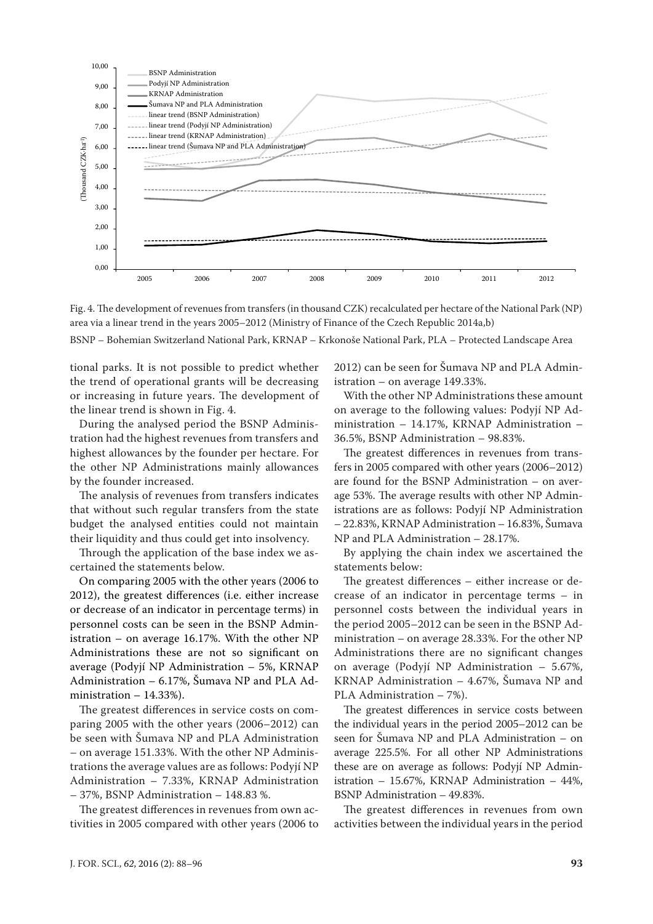

Fig. 4. The development of revenues from transfers (in thousand CZK) recalculated per hectare of the National Park (NP) area via a linear trend in the years 2005–2012 (Ministry of Finance of the Czech Republic 2014a,b)

BSNP – Bohemian Switzerland National Park, KRNAP – Krkonoše National Park, PLA – Protected Landscape Area

tional parks. It is not possible to predict whether the trend of operational grants will be decreasing or increasing in future years. The development of the linear trend is shown in Fig. 4.

During the analysed period the BSNP Administration had the highest revenues from transfers and highest allowances by the founder per hectare. For the other NP Administrations mainly allowances by the founder increased.

The analysis of revenues from transfers indicates that without such regular transfers from the state budget the analysed entities could not maintain their liquidity and thus could get into insolvency.

Through the application of the base index we ascertained the statements below.

On comparing 2005 with the other years (2006 to 2012), the greatest differences (i.e. either increase or decrease of an indicator in percentage terms) in personnel costs can be seen in the BSNP Administration – on average 16.17%. With the other NP Administrations these are not so significant on average (Podyjí NP Administration – 5%, KRNAP Administration – 6.17%, Šumava NP and PLA Administration – 14.33%).

The greatest differences in service costs on comparing 2005 with the other years (2006–2012) can be seen with Šumava NP and PLA Administration – on average 151.33%. With the other NP Administrations the average values are as follows: Podyjí NP Administration – 7.33%, KRNAP Administration – 37%, BSNP Administration – 148.83 %.

The greatest differences in revenues from own activities in 2005 compared with other years (2006 to 2012) can be seen for Šumava NP and PLA Administration – on average 149.33%.

With the other NP Administrations these amount on average to the following values: Podyjí NP Administration – 14.17%, KRNAP Administration – 36.5%, BSNP Administration – 98.83%.

The greatest differences in revenues from transfers in 2005 compared with other years (2006–2012) are found for the BSNP Administration – on average 53%. The average results with other NP Administrations are as follows: Podyjí NP Administration – 22.83%, KRNAP Administration – 16.83%, Šumava NP and PLA Administration – 28.17%.

By applying the chain index we ascertained the statements below:

The greatest differences – either increase or decrease of an indicator in percentage terms – in personnel costs between the individual years in the period 2005–2012 can be seen in the BSNP Administration – on average 28.33%. For the other NP Administrations there are no significant changes on average (Podyjí NP Administration – 5.67%, KRNAP Administration – 4.67%, Šumava NP and PLA Administration – 7%).

The greatest differences in service costs between the individual years in the period 2005–2012 can be seen for Šumava NP and PLA Administration – on average 225.5%. For all other NP Administrations these are on average as follows: Podyjí NP Administration – 15.67%, KRNAP Administration – 44%, BSNP Administration – 49.83%.

The greatest differences in revenues from own activities between the individual years in the period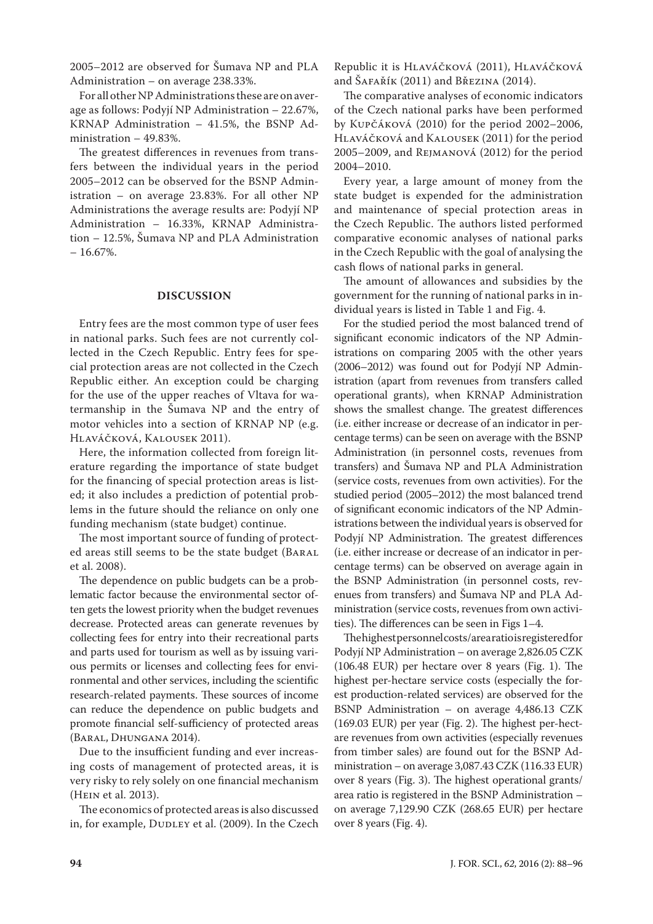2005–2012 are observed for Šumava NP and PLA Administration – on average 238.33%.

For all other NP Administrations these are on average as follows: Podyjí NP Administration – 22.67%, KRNAP Administration – 41.5%, the BSNP Administration – 49.83%.

The greatest differences in revenues from transfers between the individual years in the period 2005–2012 can be observed for the BSNP Administration – on average 23.83%. For all other NP Administrations the average results are: Podyjí NP Administration – 16.33%, KRNAP Administration – 12.5%, Šumava NP and PLA Administration – 16.67%.

#### **DISCUSSION**

Entry fees are the most common type of user fees in national parks. Such fees are not currently collected in the Czech Republic. Entry fees for special protection areas are not collected in the Czech Republic either. An exception could be charging for the use of the upper reaches of Vltava for watermanship in the Šumava NP and the entry of motor vehicles into a section of KRNAP NP (e.g. Hlaváčková, Kalousek 2011).

Here, the information collected from foreign literature regarding the importance of state budget for the financing of special protection areas is listed; it also includes a prediction of potential problems in the future should the reliance on only one funding mechanism (state budget) continue.

The most important source of funding of protected areas still seems to be the state budget (Baral et al. 2008).

The dependence on public budgets can be a problematic factor because the environmental sector often gets the lowest priority when the budget revenues decrease. Protected areas can generate revenues by collecting fees for entry into their recreational parts and parts used for tourism as well as by issuing various permits or licenses and collecting fees for environmental and other services, including the scientific research-related payments. These sources of income can reduce the dependence on public budgets and promote financial self-sufficiency of protected areas (Baral, Dhungana 2014).

Due to the insufficient funding and ever increasing costs of management of protected areas, it is very risky to rely solely on one financial mechanism (Hein et al. 2013).

The economics of protected areas is also discussed in, for example, DUDLEY et al. (2009). In the Czech Republic it is Hlaváčková (2011), Hlaváčková and Šafařík (2011) and Březina (2014).

The comparative analyses of economic indicators of the Czech national parks have been performed by Kupčáková (2010) for the period 2002–2006, Hlaváčková and Kalousek (2011) for the period 2005–2009, and Rejmanová (2012) for the period 2004–2010.

Every year, a large amount of money from the state budget is expended for the administration and maintenance of special protection areas in the Czech Republic. The authors listed performed comparative economic analyses of national parks in the Czech Republic with the goal of analysing the cash flows of national parks in general.

The amount of allowances and subsidies by the government for the running of national parks in individual years is listed in Table 1 and Fig. 4.

For the studied period the most balanced trend of significant economic indicators of the NP Administrations on comparing 2005 with the other years (2006–2012) was found out for Podyjí NP Administration (apart from revenues from transfers called operational grants), when KRNAP Administration shows the smallest change. The greatest differences (i.e. either increase or decrease of an indicator in percentage terms) can be seen on average with the BSNP Administration (in personnel costs, revenues from transfers) and Šumava NP and PLA Administration (service costs, revenues from own activities). For the studied period (2005–2012) the most balanced trend of significant economic indicators of the NP Administrations between the individual years is observed for Podyjí NP Administration. The greatest differences (i.e. either increase or decrease of an indicator in percentage terms) can be observed on average again in the BSNP Administration (in personnel costs, revenues from transfers) and Šumava NP and PLA Administration (service costs, revenues from own activities). The differences can be seen in Figs 1–4.

The highest personnel costs/area ratio is registered for Podyjí NP Administration – on average 2,826.05 CZK (106.48 EUR) per hectare over 8 years (Fig. 1). The highest per-hectare service costs (especially the forest production-related services) are observed for the BSNP Administration – on average 4,486.13 CZK (169.03 EUR) per year (Fig. 2). The highest per-hectare revenues from own activities (especially revenues from timber sales) are found out for the BSNP Administration – on average 3,087.43 CZK (116.33 EUR) over 8 years (Fig. 3). The highest operational grants/ area ratio is registered in the BSNP Administration – on average 7,129.90 CZK (268.65 EUR) per hectare over 8 years (Fig. 4).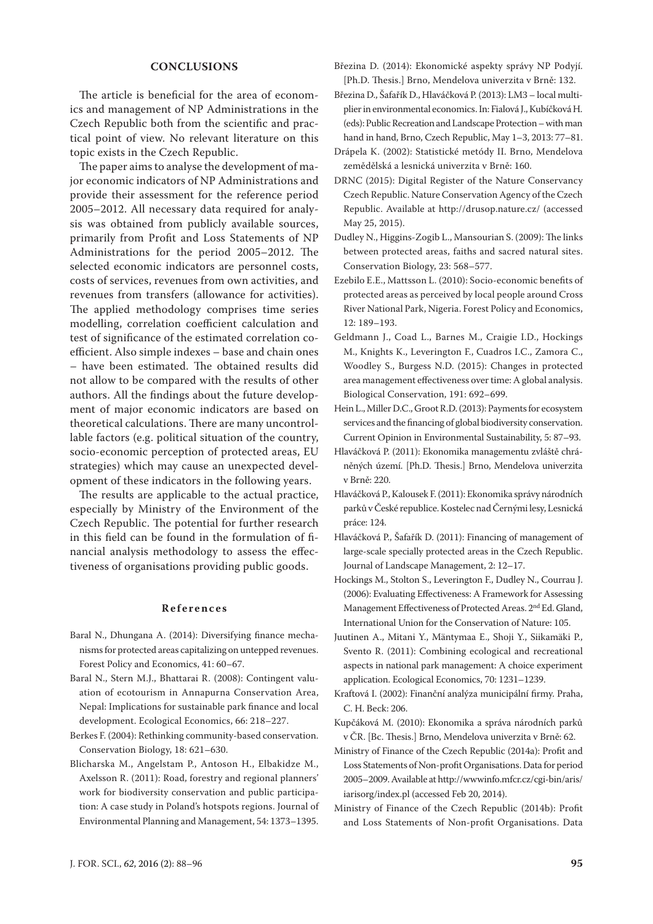#### **CONCLUSIONS**

The article is beneficial for the area of economics and management of NP Administrations in the Czech Republic both from the scientific and practical point of view. No relevant literature on this topic exists in the Czech Republic.

The paper aims to analyse the development of major economic indicators of NP Administrations and provide their assessment for the reference period 2005–2012. All necessary data required for analysis was obtained from publicly available sources, primarily from Profit and Loss Statements of NP Administrations for the period 2005–2012. The selected economic indicators are personnel costs, costs of services, revenues from own activities, and revenues from transfers (allowance for activities). The applied methodology comprises time series modelling, correlation coefficient calculation and test of significance of the estimated correlation coefficient. Also simple indexes – base and chain ones – have been estimated. The obtained results did not allow to be compared with the results of other authors. All the findings about the future development of major economic indicators are based on theoretical calculations. There are many uncontrollable factors (e.g. political situation of the country, socio-economic perception of protected areas, EU strategies) which may cause an unexpected development of these indicators in the following years.

The results are applicable to the actual practice, especially by Ministry of the Environment of the Czech Republic. The potential for further research in this field can be found in the formulation of financial analysis methodology to assess the effectiveness of organisations providing public goods.

#### **References**

- Baral N., Dhungana A. (2014): Diversifying finance mechanisms for protected areas capitalizing on untepped revenues. Forest Policy and Economics, 41: 60–67.
- Baral N., Stern M.J., Bhattarai R. (2008): Contingent valuation of ecotourism in Annapurna Conservation Area, Nepal: Implications for sustainable park finance and local development. Ecological Economics, 66: 218–227.
- Berkes F. (2004): Rethinking community-based conservation. Conservation Biology, 18: 621–630.
- Blicharska M., Angelstam P., Antoson H., Elbakidze M., Axelsson R. (2011): Road, forestry and regional planners' work for biodiversity conservation and public participation: A case study in Poland's hotspots regions. Journal of Environmental Planning and Management, 54: 1373–1395.
- Březina D. (2014): Ekonomické aspekty správy NP Podyjí. [Ph.D. Thesis.] Brno, Mendelova univerzita v Brně: 132.
- Březina D., Šafařík D., Hlaváčková P. (2013): LM3 local multiplier in environmental economics. In: Fialová J., Kubíčková H. (eds): Public Recreation and Landscape Protection – with man hand in hand, Brno, Czech Republic, May 1–3, 2013: 77–81.
- Drápela K. (2002): Statistické metódy II. Brno, Mendelova zemědělská a lesnická univerzita v Brně: 160.
- DRNC (2015): Digital Register of the Nature Conservancy Czech Republic. Nature Conservation Agency of the Czech Republic. Available at http://drusop.nature.cz/ (accessed May 25, 2015).
- Dudley N., Higgins-Zogib L., Mansourian S. (2009): The links between protected areas, faiths and sacred natural sites. Conservation Biology, 23: 568–577.
- Ezebilo E.E., Mattsson L. (2010): Socio-economic benefits of protected areas as perceived by local people around Cross River National Park, Nigeria. Forest Policy and Economics, 12: 189–193.
- Geldmann J., Coad L., Barnes M., Craigie I.D., Hockings M., Knights K., Leverington F., Cuadros I.C., Zamora C., Woodley S., Burgess N.D. (2015): Changes in protected area management effectiveness over time: A global analysis. Biological Conservation, 191: 692–699.
- Hein L., Miller D.C., Groot R.D. (2013): Payments for ecosystem services and the financing of global biodiversity conservation. Current Opinion in Environmental Sustainability, 5: 87–93.
- Hlaváčková P. (2011): Ekonomika managementu zvláště chráněných území. [Ph.D. Thesis.] Brno, Mendelova univerzita v Brně: 220.
- Hlaváčková P., Kalousek F. (2011): Ekonomika správy národních parků v České republice. Kostelec nad Černými lesy, Lesnická práce: 124.
- Hlaváčková P., Šafařík D. (2011): Financing of management of large-scale specially protected areas in the Czech Republic. Journal of Landscape Management, 2: 12–17.
- Hockings M., Stolton S., Leverington F., Dudley N., Courrau J. (2006): Evaluating Effectiveness: A Framework for Assessing Management Effectiveness of Protected Areas. 2nd Ed. Gland, International Union for the Conservation of Nature: 105.
- Juutinen A., Mitani Y., Mäntymaa E., Shoji Y., Siikamäki P., Svento R. (2011): Combining ecological and recreational aspects in national park management: A choice experiment application. Ecological Economics, 70: 1231–1239.
- Kraftová I. (2002): Finanční analýza municipální firmy. Praha, C. H. Beck: 206.
- Kupčáková M. (2010): Ekonomika a správa národních parků v ČR. [Bc. Thesis.] Brno, Mendelova univerzita v Brně: 62.
- Ministry of Finance of the Czech Republic (2014a): Profit and Loss Statements of Non-profit Organisations. Data for period 2005–2009. Available at http://wwwinfo.mfcr.cz/cgi-bin/aris/ iarisorg/index.pl (accessed Feb 20, 2014).
- Ministry of Finance of the Czech Republic (2014b): Profit and Loss Statements of Non-profit Organisations. Data